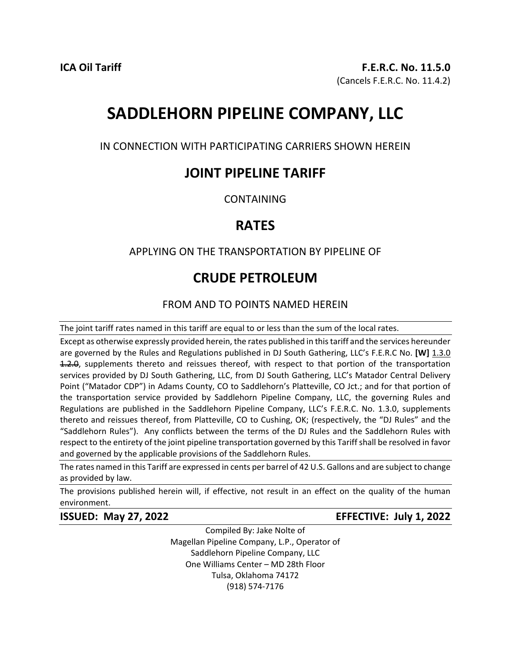# **SADDLEHORN PIPELINE COMPANY, LLC**

IN CONNECTION WITH PARTICIPATING CARRIERS SHOWN HEREIN

## **JOINT PIPELINE TARIFF**

CONTAINING

# **RATES**

### APPLYING ON THE TRANSPORTATION BY PIPELINE OF

# **CRUDE PETROLEUM**

### FROM AND TO POINTS NAMED HEREIN

The joint tariff rates named in this tariff are equal to or less than the sum of the local rates.

Except as otherwise expressly provided herein, the rates published in this tariff and the services hereunder are governed by the Rules and Regulations published in DJ South Gathering, LLC's F.E.R.C No. **[W]** 1.3.0 4.2.0, supplements thereto and reissues thereof, with respect to that portion of the transportation services provided by DJ South Gathering, LLC, from DJ South Gathering, LLC's Matador Central Delivery Point ("Matador CDP") in Adams County, CO to Saddlehorn's Platteville, CO Jct.; and for that portion of the transportation service provided by Saddlehorn Pipeline Company, LLC, the governing Rules and Regulations are published in the Saddlehorn Pipeline Company, LLC's F.E.R.C. No. 1.3.0, supplements thereto and reissues thereof, from Platteville, CO to Cushing, OK; (respectively, the "DJ Rules" and the "Saddlehorn Rules"). Any conflicts between the terms of the DJ Rules and the Saddlehorn Rules with respect to the entirety of the joint pipeline transportation governed by this Tariff shall be resolved in favor and governed by the applicable provisions of the Saddlehorn Rules.

The rates named in this Tariff are expressed in cents per barrel of 42 U.S. Gallons and are subject to change as provided by law.

The provisions published herein will, if effective, not result in an effect on the quality of the human environment.

### **ISSUED: May 27, 2022 EFFECTIVE: July 1, 2022**

Compiled By: Jake Nolte of Magellan Pipeline Company, L.P., Operator of Saddlehorn Pipeline Company, LLC One Williams Center – MD 28th Floor Tulsa, Oklahoma 74172 (918) 574-7176